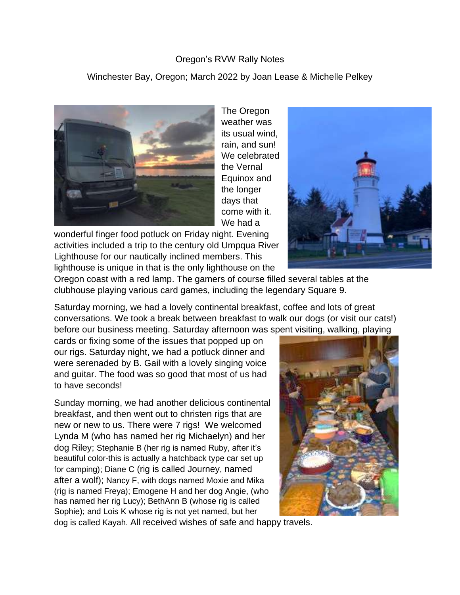## Oregon's RVW Rally Notes

Winchester Bay, Oregon; March 2022 by Joan Lease & Michelle Pelkey



The Oregon weather was its usual wind, rain, and sun! We celebrated the Vernal Equinox and the longer days that come with it. We had a

wonderful finger food potluck on Friday night. Evening activities included a trip to the century old Umpqua River Lighthouse for our nautically inclined members. This lighthouse is unique in that is the only lighthouse on the



Oregon coast with a red lamp. The gamers of course filled several tables at the clubhouse playing various card games, including the legendary Square 9.

Saturday morning, we had a lovely continental breakfast, coffee and lots of great conversations. We took a break between breakfast to walk our dogs (or visit our cats!) before our business meeting. Saturday afternoon was spent visiting, walking, playing

cards or fixing some of the issues that popped up on our rigs. Saturday night, we had a potluck dinner and were serenaded by B. Gail with a lovely singing voice and guitar. The food was so good that most of us had to have seconds!

Sunday morning, we had another delicious continental breakfast, and then went out to christen rigs that are new or new to us. There were 7 rigs! We welcomed Lynda M (who has named her rig Michaelyn) and her dog Riley; Stephanie B (her rig is named Ruby, after it's beautiful color-this is actually a hatchback type car set up for camping); Diane C (rig is called Journey, named after a wolf); Nancy F, with dogs named Moxie and Mika (rig is named Freya); Emogene H and her dog Angie, (who has named her rig Lucy); BethAnn B (whose rig is called Sophie); and Lois K whose rig is not yet named, but her



dog is called Kayah. All received wishes of safe and happy travels.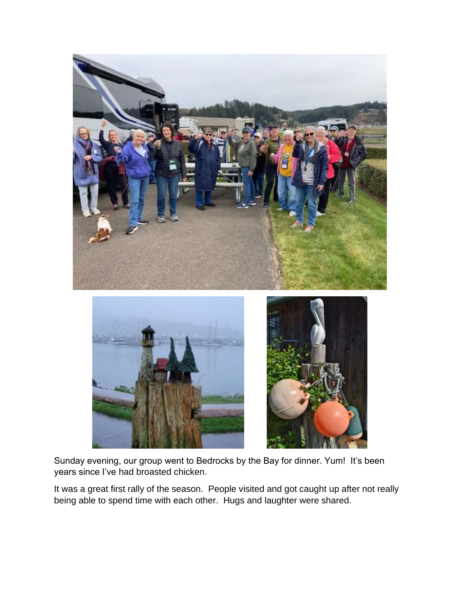

Sunday evening, our group went to Bedrocks by the Bay for dinner. Yum! It's been years since I've had broasted chicken.

It was a great first rally of the season. People visited and got caught up after not really being able to spend time with each other. Hugs and laughter were shared.